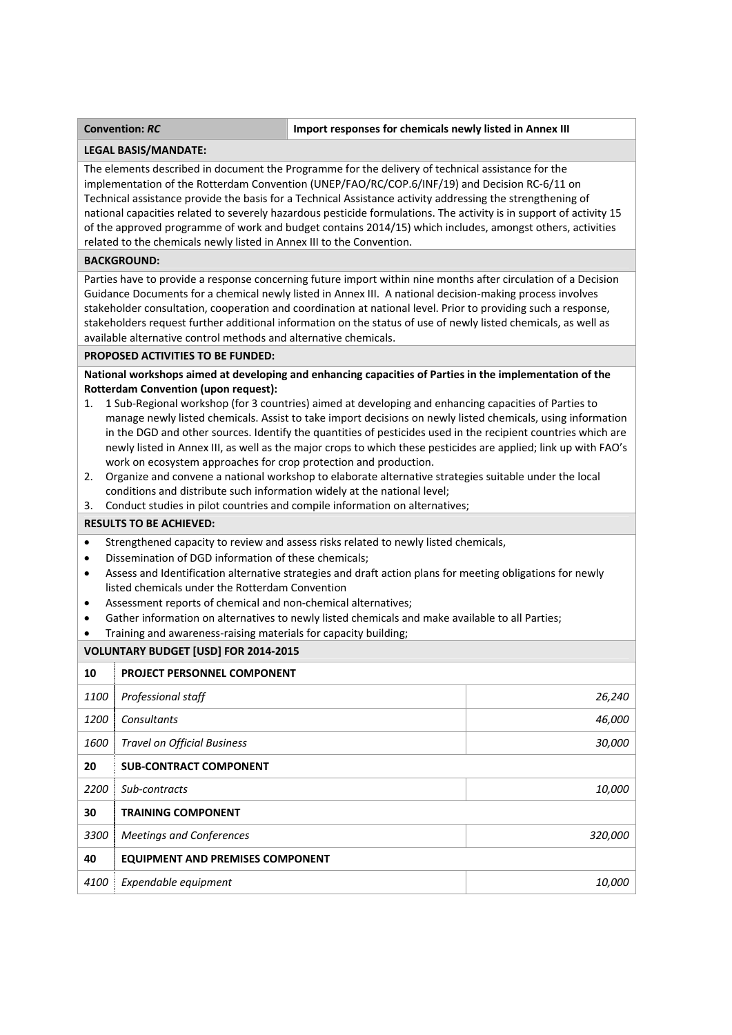# **Convention:** *RC* **Import responses for chemicals newly listed in Annex III**

#### **LEGAL BASIS/MANDATE:**

The elements described in document the Programme for the delivery of technical assistance for the implementation of the Rotterdam Convention (UNEP/FAO/RC/COP.6/INF/19) and Decision RC-6/11 on Technical assistance provide the basis for a Technical Assistance activity addressing the strengthening of national capacities related to severely hazardous pesticide formulations. The activity is in support of activity 15 of the approved programme of work and budget contains 2014/15) which includes, amongst others, activities related to the chemicals newly listed in Annex III to the Convention.

### **BACKGROUND:**

Parties have to provide a response concerning future import within nine months after circulation of a Decision Guidance Documents for a chemical newly listed in Annex III. A national decision‐making process involves stakeholder consultation, cooperation and coordination at national level. Prior to providing such a response, stakeholders request further additional information on the status of use of newly listed chemicals, as well as available alternative control methods and alternative chemicals.

#### **PROPOSED ACTIVITIES TO BE FUNDED:**

**National workshops aimed at developing and enhancing capacities of Parties in the implementation of the Rotterdam Convention (upon request):**

- 1. 1 Sub‐Regional workshop (for 3 countries) aimed at developing and enhancing capacities of Parties to manage newly listed chemicals. Assist to take import decisions on newly listed chemicals, using information in the DGD and other sources. Identify the quantities of pesticides used in the recipient countries which are newly listed in Annex III, as well as the major crops to which these pesticides are applied; link up with FAO's work on ecosystem approaches for crop protection and production.
- 2. Organize and convene a national workshop to elaborate alternative strategies suitable under the local conditions and distribute such information widely at the national level;
- 3. Conduct studies in pilot countries and compile information on alternatives;

#### **RESULTS TO BE ACHIEVED:**

- Strengthened capacity to review and assess risks related to newly listed chemicals,
- Dissemination of DGD information of these chemicals;
- Assess and Identification alternative strategies and draft action plans for meeting obligations for newly listed chemicals under the Rotterdam Convention
- Assessment reports of chemical and non‐chemical alternatives;
- Gather information on alternatives to newly listed chemicals and make available to all Parties;
- Training and awareness‐raising materials for capacity building;

## **VOLUNTARY BUDGET [USD] FOR 2014‐2015**

| 10   | <b>PROJECT PERSONNEL COMPONENT</b>      |               |
|------|-----------------------------------------|---------------|
| 1100 | Professional staff                      | 26,240        |
| 1200 | Consultants                             | 46,000        |
| 1600 | <b>Travel on Official Business</b>      | 30,000        |
| 20   | <b>SUB-CONTRACT COMPONENT</b>           |               |
| 2200 | Sub-contracts                           | 10,000        |
| 30   | <b>TRAINING COMPONENT</b>               |               |
| 3300 | <b>Meetings and Conferences</b>         | 320,000       |
| 40   | <b>EQUIPMENT AND PREMISES COMPONENT</b> |               |
| 4100 | Expendable equipment                    | <i>10,000</i> |